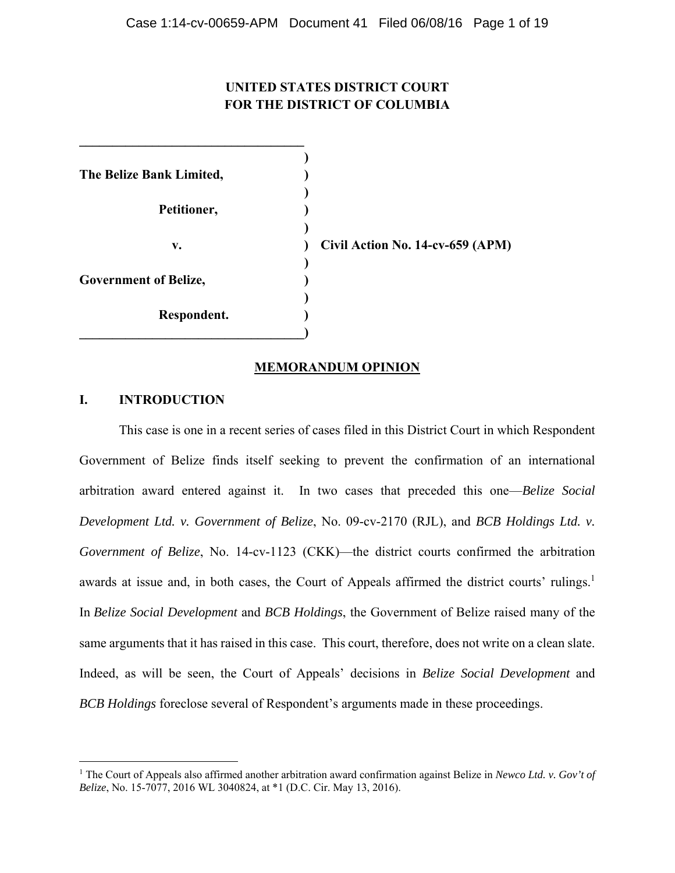# **UNITED STATES DISTRICT COURT FOR THE DISTRICT OF COLUMBIA**

| The Belize Bank Limited,     |                                  |
|------------------------------|----------------------------------|
| Petitioner,                  |                                  |
| v.                           | Civil Action No. 14-cv-659 (APM) |
| <b>Government of Belize,</b> |                                  |
| Respondent.                  |                                  |

# **MEMORANDUM OPINION**

# **I. INTRODUCTION**

 $\overline{\phantom{0}}$ 

**\_\_\_\_\_\_\_\_\_\_\_\_\_\_\_\_\_\_\_\_\_\_\_\_\_\_\_\_\_\_\_\_\_\_** 

This case is one in a recent series of cases filed in this District Court in which Respondent Government of Belize finds itself seeking to prevent the confirmation of an international arbitration award entered against it. In two cases that preceded this one—*Belize Social Development Ltd. v. Government of Belize*, No. 09-cv-2170 (RJL), and *BCB Holdings Ltd. v. Government of Belize*, No. 14-cv-1123 (CKK)—the district courts confirmed the arbitration awards at issue and, in both cases, the Court of Appeals affirmed the district courts' rulings.<sup>1</sup> In *Belize Social Development* and *BCB Holdings*, the Government of Belize raised many of the same arguments that it has raised in this case. This court, therefore, does not write on a clean slate. Indeed, as will be seen, the Court of Appeals' decisions in *Belize Social Development* and *BCB Holdings* foreclose several of Respondent's arguments made in these proceedings.

<sup>1</sup> The Court of Appeals also affirmed another arbitration award confirmation against Belize in *Newco Ltd. v. Gov't of Belize*, No. 15-7077, 2016 WL 3040824, at \*1 (D.C. Cir. May 13, 2016).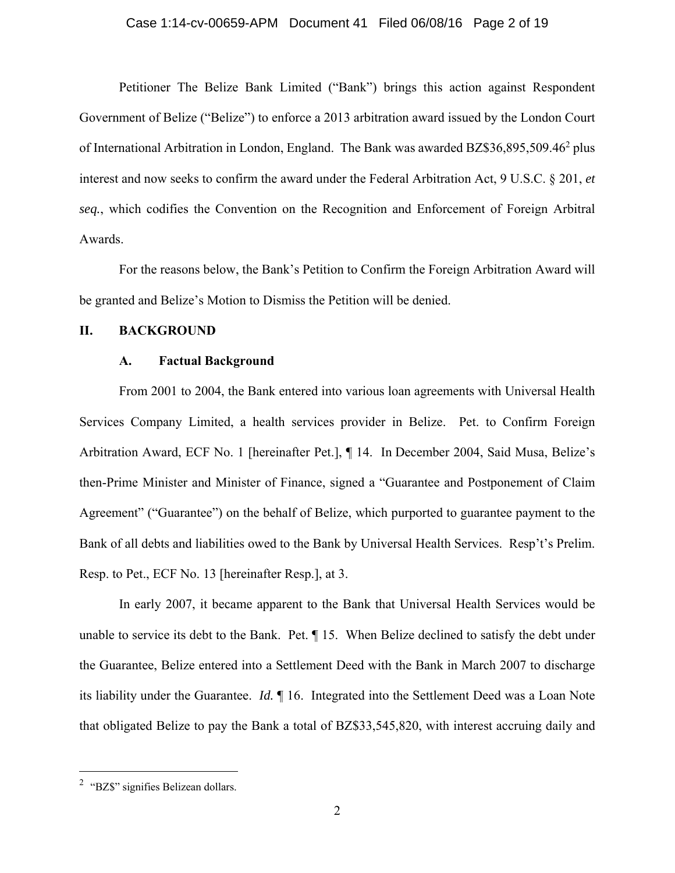#### Case 1:14-cv-00659-APM Document 41 Filed 06/08/16 Page 2 of 19

Petitioner The Belize Bank Limited ("Bank") brings this action against Respondent Government of Belize ("Belize") to enforce a 2013 arbitration award issued by the London Court of International Arbitration in London, England. The Bank was awarded BZ\$36,895,509.46<sup>2</sup> plus interest and now seeks to confirm the award under the Federal Arbitration Act, 9 U.S.C. § 201, *et seq.*, which codifies the Convention on the Recognition and Enforcement of Foreign Arbitral Awards.

For the reasons below, the Bank's Petition to Confirm the Foreign Arbitration Award will be granted and Belize's Motion to Dismiss the Petition will be denied.

## **II. BACKGROUND**

#### **A. Factual Background**

From 2001 to 2004, the Bank entered into various loan agreements with Universal Health Services Company Limited, a health services provider in Belize. Pet. to Confirm Foreign Arbitration Award, ECF No. 1 [hereinafter Pet.], ¶ 14. In December 2004, Said Musa, Belize's then-Prime Minister and Minister of Finance, signed a "Guarantee and Postponement of Claim Agreement" ("Guarantee") on the behalf of Belize, which purported to guarantee payment to the Bank of all debts and liabilities owed to the Bank by Universal Health Services. Resp't's Prelim. Resp. to Pet., ECF No. 13 [hereinafter Resp.], at 3.

In early 2007, it became apparent to the Bank that Universal Health Services would be unable to service its debt to the Bank. Pet. ¶ 15. When Belize declined to satisfy the debt under the Guarantee, Belize entered into a Settlement Deed with the Bank in March 2007 to discharge its liability under the Guarantee. *Id.* ¶ 16.Integrated into the Settlement Deed was a Loan Note that obligated Belize to pay the Bank a total of BZ\$33,545,820, with interest accruing daily and

 $\overline{\phantom{0}}$ 

<sup>&</sup>lt;sup>2</sup> "BZ\$" signifies Belizean dollars.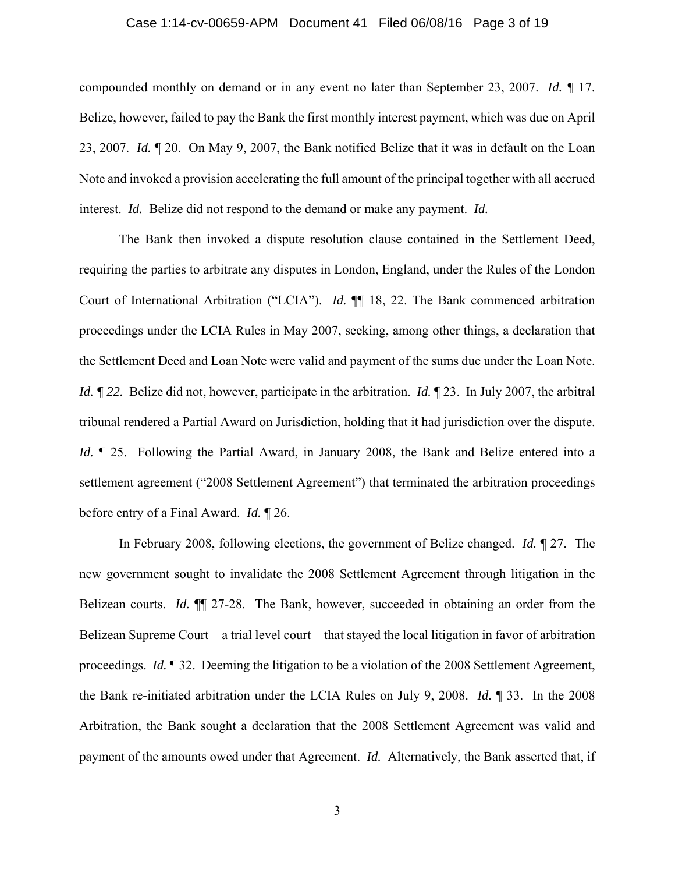#### Case 1:14-cv-00659-APM Document 41 Filed 06/08/16 Page 3 of 19

compounded monthly on demand or in any event no later than September 23, 2007. *Id. ¶* 17. Belize, however, failed to pay the Bank the first monthly interest payment, which was due on April 23, 2007. *Id.* ¶ 20. On May 9, 2007, the Bank notified Belize that it was in default on the Loan Note and invoked a provision accelerating the full amount of the principal together with all accrued interest. *Id.* Belize did not respond to the demand or make any payment. *Id.* 

The Bank then invoked a dispute resolution clause contained in the Settlement Deed, requiring the parties to arbitrate any disputes in London, England, under the Rules of the London Court of International Arbitration ("LCIA"). *Id.* ¶¶ 18, 22. The Bank commenced arbitration proceedings under the LCIA Rules in May 2007, seeking, among other things, a declaration that the Settlement Deed and Loan Note were valid and payment of the sums due under the Loan Note. *Id.*  $\sqrt{q}$  22. Belize did not, however, participate in the arbitration. *Id.*  $\sqrt{q}$  23. In July 2007, the arbitral tribunal rendered a Partial Award on Jurisdiction, holding that it had jurisdiction over the dispute. *Id.* ¶ 25. Following the Partial Award, in January 2008, the Bank and Belize entered into a settlement agreement ("2008 Settlement Agreement") that terminated the arbitration proceedings before entry of a Final Award. *Id.* ¶ 26.

In February 2008, following elections, the government of Belize changed. *Id.* ¶ 27. The new government sought to invalidate the 2008 Settlement Agreement through litigation in the Belizean courts. *Id.* ¶¶ 27-28. The Bank, however, succeeded in obtaining an order from the Belizean Supreme Court—a trial level court—that stayed the local litigation in favor of arbitration proceedings. *Id.* ¶ 32.Deeming the litigation to be a violation of the 2008 Settlement Agreement, the Bank re-initiated arbitration under the LCIA Rules on July 9, 2008. *Id.* ¶ 33. In the 2008 Arbitration, the Bank sought a declaration that the 2008 Settlement Agreement was valid and payment of the amounts owed under that Agreement. *Id.* Alternatively, the Bank asserted that, if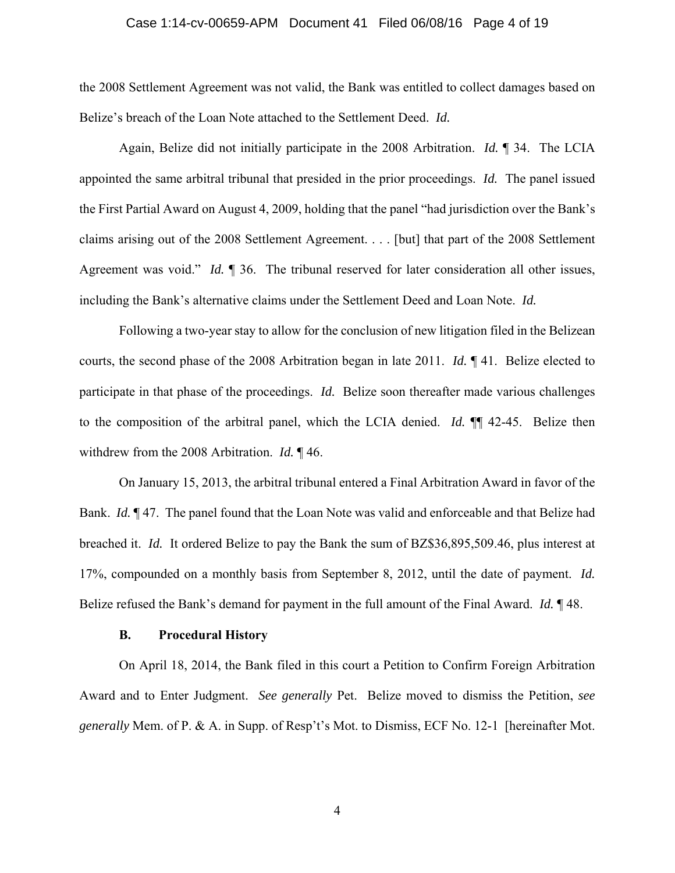#### Case 1:14-cv-00659-APM Document 41 Filed 06/08/16 Page 4 of 19

the 2008 Settlement Agreement was not valid, the Bank was entitled to collect damages based on Belize's breach of the Loan Note attached to the Settlement Deed. *Id.* 

Again, Belize did not initially participate in the 2008 Arbitration. *Id.* ¶ 34. The LCIA appointed the same arbitral tribunal that presided in the prior proceedings. *Id.* The panel issued the First Partial Award on August 4, 2009, holding that the panel "had jurisdiction over the Bank's claims arising out of the 2008 Settlement Agreement. . . . [but] that part of the 2008 Settlement Agreement was void." *Id.* ¶ 36. The tribunal reserved for later consideration all other issues, including the Bank's alternative claims under the Settlement Deed and Loan Note. *Id.* 

Following a two-year stay to allow for the conclusion of new litigation filed in the Belizean courts, the second phase of the 2008 Arbitration began in late 2011. *Id.* ¶ 41. Belize elected to participate in that phase of the proceedings. *Id.* Belize soon thereafter made various challenges to the composition of the arbitral panel, which the LCIA denied. *Id.* ¶¶ 42-45. Belize then withdrew from the 2008 Arbitration. *Id.* ¶ 46.

On January 15, 2013, the arbitral tribunal entered a Final Arbitration Award in favor of the Bank. *Id.* **¶** 47. The panel found that the Loan Note was valid and enforceable and that Belize had breached it. *Id.* It ordered Belize to pay the Bank the sum of BZ\$36,895,509.46, plus interest at 17%, compounded on a monthly basis from September 8, 2012, until the date of payment. *Id.*  Belize refused the Bank's demand for payment in the full amount of the Final Award. *Id.* ¶ 48.

#### **B. Procedural History**

On April 18, 2014, the Bank filed in this court a Petition to Confirm Foreign Arbitration Award and to Enter Judgment. *See generally* Pet. Belize moved to dismiss the Petition, *see generally* Mem. of P. & A. in Supp. of Resp't's Mot. to Dismiss, ECF No. 12-1 [hereinafter Mot.

4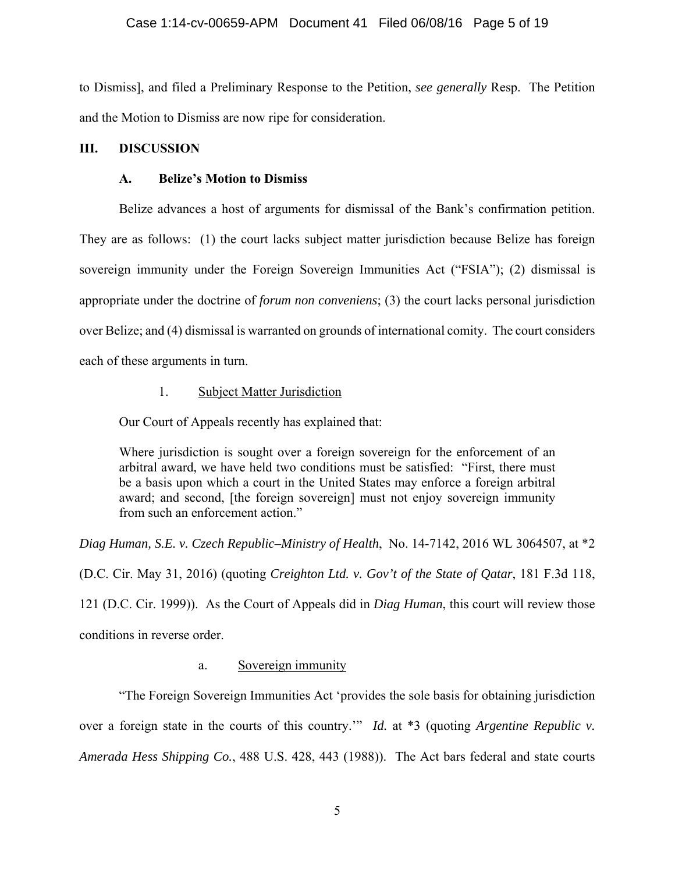# Case 1:14-cv-00659-APM Document 41 Filed 06/08/16 Page 5 of 19

to Dismiss], and filed a Preliminary Response to the Petition, *see generally* Resp. The Petition and the Motion to Dismiss are now ripe for consideration.

# **III. DISCUSSION**

# **A. Belize's Motion to Dismiss**

 Belize advances a host of arguments for dismissal of the Bank's confirmation petition. They are as follows: (1) the court lacks subject matter jurisdiction because Belize has foreign sovereign immunity under the Foreign Sovereign Immunities Act ("FSIA"); (2) dismissal is appropriate under the doctrine of *forum non conveniens*; (3) the court lacks personal jurisdiction over Belize; and (4) dismissal is warranted on grounds of international comity. The court considers each of these arguments in turn.

# 1. Subject Matter Jurisdiction

Our Court of Appeals recently has explained that:

Where jurisdiction is sought over a foreign sovereign for the enforcement of an arbitral award, we have held two conditions must be satisfied: "First, there must be a basis upon which a court in the United States may enforce a foreign arbitral award; and second, [the foreign sovereign] must not enjoy sovereign immunity from such an enforcement action."

*Diag Human, S.E. v. Czech Republic–Ministry of Health*, No. 14-7142, 2016 WL 3064507, at \*2 (D.C. Cir. May 31, 2016) (quoting *Creighton Ltd. v. Gov't of the State of Qatar*, 181 F.3d 118, 121 (D.C. Cir. 1999)). As the Court of Appeals did in *Diag Human*, this court will review those conditions in reverse order.

# a. Sovereign immunity

 "The Foreign Sovereign Immunities Act 'provides the sole basis for obtaining jurisdiction over a foreign state in the courts of this country.'" *Id.* at \*3 (quoting *Argentine Republic v. Amerada Hess Shipping Co.*, 488 U.S. 428, 443 (1988)). The Act bars federal and state courts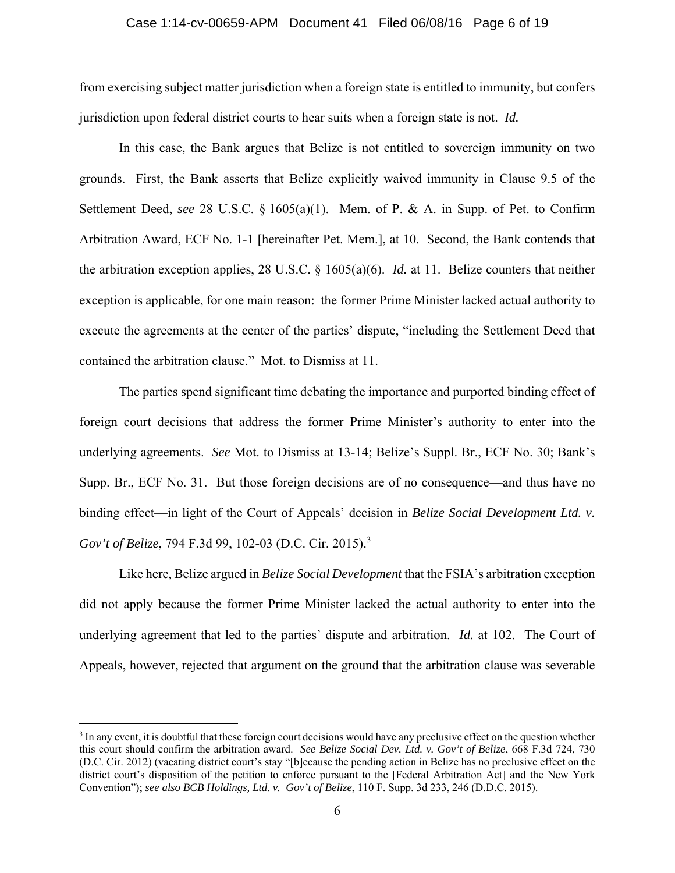#### Case 1:14-cv-00659-APM Document 41 Filed 06/08/16 Page 6 of 19

from exercising subject matter jurisdiction when a foreign state is entitled to immunity, but confers jurisdiction upon federal district courts to hear suits when a foreign state is not. *Id.* 

In this case, the Bank argues that Belize is not entitled to sovereign immunity on two grounds. First, the Bank asserts that Belize explicitly waived immunity in Clause 9.5 of the Settlement Deed, *see* 28 U.S.C. § 1605(a)(1). Mem. of P. & A. in Supp. of Pet. to Confirm Arbitration Award, ECF No. 1-1 [hereinafter Pet. Mem.], at 10. Second, the Bank contends that the arbitration exception applies, 28 U.S.C. § 1605(a)(6). *Id.* at 11. Belize counters that neither exception is applicable, for one main reason: the former Prime Minister lacked actual authority to execute the agreements at the center of the parties' dispute, "including the Settlement Deed that contained the arbitration clause." Mot. to Dismiss at 11.

The parties spend significant time debating the importance and purported binding effect of foreign court decisions that address the former Prime Minister's authority to enter into the underlying agreements. *See* Mot. to Dismiss at 13-14; Belize's Suppl. Br., ECF No. 30; Bank's Supp. Br., ECF No. 31. But those foreign decisions are of no consequence—and thus have no binding effect—in light of the Court of Appeals' decision in *Belize Social Development Ltd. v. Gov't of Belize*, 794 F.3d 99, 102-03 (D.C. Cir. 2015).<sup>3</sup>

Like here, Belize argued in *Belize Social Development* that the FSIA's arbitration exception did not apply because the former Prime Minister lacked the actual authority to enter into the underlying agreement that led to the parties' dispute and arbitration. *Id.* at 102. The Court of Appeals, however, rejected that argument on the ground that the arbitration clause was severable

i<br>Li

<sup>&</sup>lt;sup>3</sup> In any event, it is doubtful that these foreign court decisions would have any preclusive effect on the question whether this court should confirm the arbitration award. *See Belize Social Dev. Ltd. v. Gov't of Belize*, 668 F.3d 724, 730 (D.C. Cir. 2012) (vacating district court's stay "[b]ecause the pending action in Belize has no preclusive effect on the district court's disposition of the petition to enforce pursuant to the [Federal Arbitration Act] and the New York Convention"); *see also BCB Holdings, Ltd. v. Gov't of Belize*, 110 F. Supp. 3d 233, 246 (D.D.C. 2015).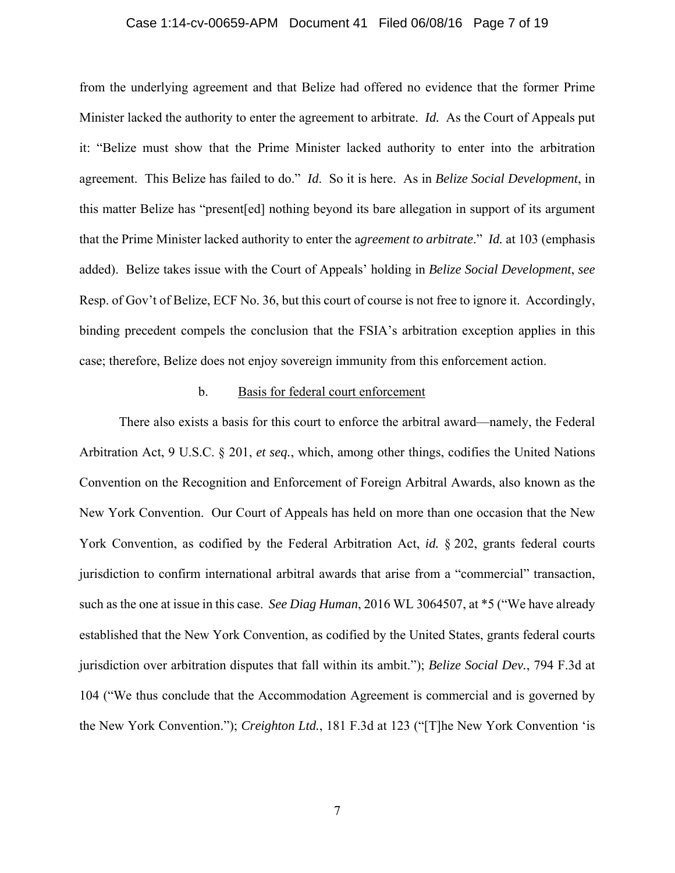#### Case 1:14-cv-00659-APM Document 41 Filed 06/08/16 Page 7 of 19

from the underlying agreement and that Belize had offered no evidence that the former Prime Minister lacked the authority to enter the agreement to arbitrate. *Id.* As the Court of Appeals put it: "Belize must show that the Prime Minister lacked authority to enter into the arbitration agreement. This Belize has failed to do." *Id*.So it is here. As in *Belize Social Development*, in this matter Belize has "present[ed] nothing beyond its bare allegation in support of its argument that the Prime Minister lacked authority to enter the a*greement to arbitrate*." *Id.* at 103 (emphasis added).Belize takes issue with the Court of Appeals' holding in *Belize Social Development*, *see*  Resp. of Gov't of Belize, ECF No. 36, but this court of course is not free to ignore it. Accordingly, binding precedent compels the conclusion that the FSIA's arbitration exception applies in this case; therefore, Belize does not enjoy sovereign immunity from this enforcement action.

## b. Basis for federal court enforcement

There also exists a basis for this court to enforce the arbitral award—namely, the Federal Arbitration Act, 9 U.S.C. § 201, *et seq.*, which, among other things, codifies the United Nations Convention on the Recognition and Enforcement of Foreign Arbitral Awards, also known as the New York Convention. Our Court of Appeals has held on more than one occasion that the New York Convention, as codified by the Federal Arbitration Act, *id.* § 202, grants federal courts jurisdiction to confirm international arbitral awards that arise from a "commercial" transaction, such as the one at issue in this case. *See Diag Human*, 2016 WL 3064507, at \*5 ("We have already established that the New York Convention, as codified by the United States, grants federal courts jurisdiction over arbitration disputes that fall within its ambit."); *Belize Social Dev.*, 794 F.3d at 104 ("We thus conclude that the Accommodation Agreement is commercial and is governed by the New York Convention."); *Creighton Ltd.*, 181 F.3d at 123 ("[T]he New York Convention 'is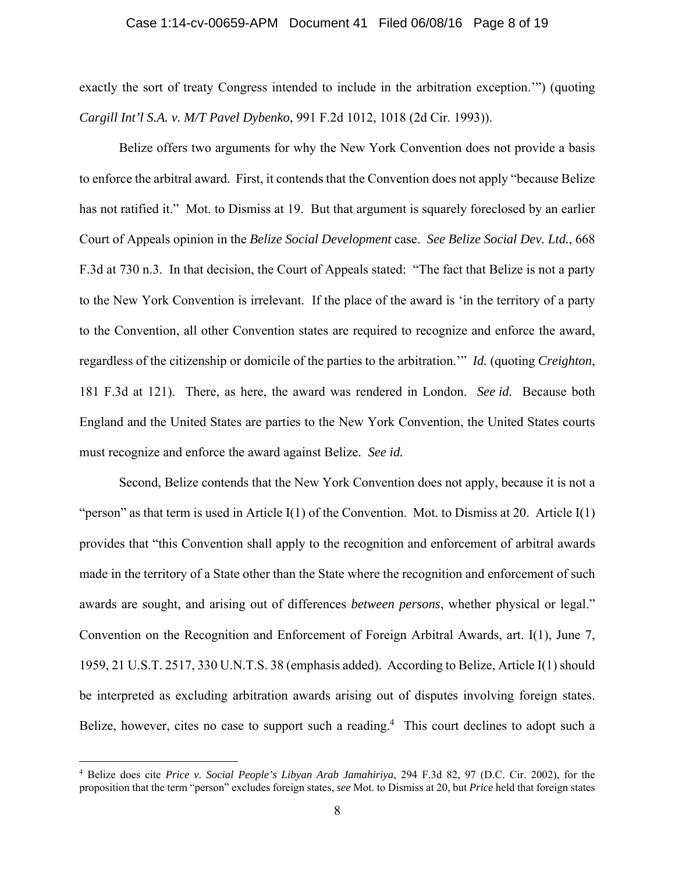#### Case 1:14-cv-00659-APM Document 41 Filed 06/08/16 Page 8 of 19

exactly the sort of treaty Congress intended to include in the arbitration exception.'") (quoting *Cargill Int'l S.A. v. M/T Pavel Dybenko*, 991 F.2d 1012, 1018 (2d Cir. 1993)).

Belize offers two arguments for why the New York Convention does not provide a basis to enforce the arbitral award. First, it contends that the Convention does not apply "because Belize has not ratified it." Mot. to Dismiss at 19. But that argument is squarely foreclosed by an earlier Court of Appeals opinion in the *Belize Social Development* case. *See Belize Social Dev. Ltd.*, 668 F.3d at 730 n.3. In that decision, the Court of Appeals stated: "The fact that Belize is not a party to the New York Convention is irrelevant. If the place of the award is 'in the territory of a party to the Convention, all other Convention states are required to recognize and enforce the award, regardless of the citizenship or domicile of the parties to the arbitration.'" *Id.* (quoting *Creighton*, 181 F.3d at 121). There, as here, the award was rendered in London. *See id.* Because both England and the United States are parties to the New York Convention, the United States courts must recognize and enforce the award against Belize. *See id.*

Second, Belize contends that the New York Convention does not apply, because it is not a "person" as that term is used in Article I(1) of the Convention. Mot. to Dismiss at 20. Article I(1) provides that "this Convention shall apply to the recognition and enforcement of arbitral awards made in the territory of a State other than the State where the recognition and enforcement of such awards are sought, and arising out of differences *between persons*, whether physical or legal." Convention on the Recognition and Enforcement of Foreign Arbitral Awards, art. I(1), June 7, 1959, 21 U.S.T. 2517, 330 U.N.T.S. 38 (emphasis added). According to Belize, Article I(1) should be interpreted as excluding arbitration awards arising out of disputes involving foreign states. Belize, however, cites no case to support such a reading.<sup>4</sup> This court declines to adopt such a

 4 Belize does cite *Price v. Social People's Libyan Arab Jamahiriya*, 294 F.3d 82, 97 (D.C. Cir. 2002), for the proposition that the term "person" excludes foreign states, *see* Mot. to Dismiss at 20, but *Price* held that foreign states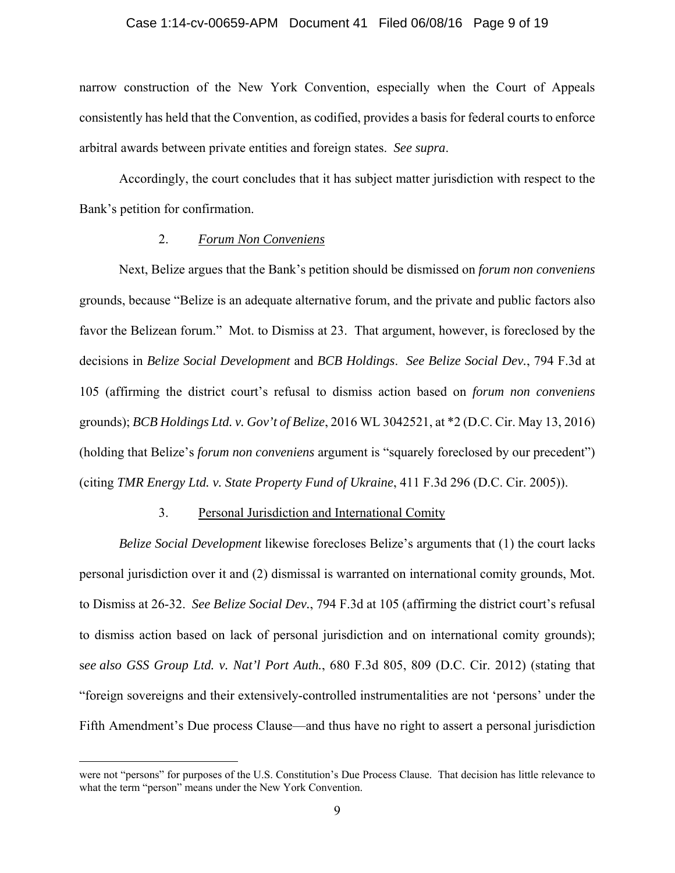#### Case 1:14-cv-00659-APM Document 41 Filed 06/08/16 Page 9 of 19

narrow construction of the New York Convention, especially when the Court of Appeals consistently has held that the Convention, as codified, provides a basis for federal courts to enforce arbitral awards between private entities and foreign states. *See supra*.

Accordingly, the court concludes that it has subject matter jurisdiction with respect to the Bank's petition for confirmation.

#### 2. *Forum Non Conveniens*

Next, Belize argues that the Bank's petition should be dismissed on *forum non conveniens* grounds, because "Belize is an adequate alternative forum, and the private and public factors also favor the Belizean forum." Mot. to Dismiss at 23. That argument, however, is foreclosed by the decisions in *Belize Social Development* and *BCB Holdings*. *See Belize Social Dev.*, 794 F.3d at 105 (affirming the district court's refusal to dismiss action based on *forum non conveniens*  grounds); *BCB Holdings Ltd. v. Gov't of Belize*, 2016 WL 3042521, at \*2 (D.C. Cir. May 13, 2016) (holding that Belize's *forum non conveniens* argument is "squarely foreclosed by our precedent") (citing *TMR Energy Ltd. v. State Property Fund of Ukraine*, 411 F.3d 296 (D.C. Cir. 2005)).

### 3. Personal Jurisdiction and International Comity

*Belize Social Development* likewise forecloses Belize's arguments that (1) the court lacks personal jurisdiction over it and (2) dismissal is warranted on international comity grounds, Mot. to Dismiss at 26-32. *See Belize Social Dev.*, 794 F.3d at 105 (affirming the district court's refusal to dismiss action based on lack of personal jurisdiction and on international comity grounds); s*ee also GSS Group Ltd. v. Nat'l Port Auth.*, 680 F.3d 805, 809 (D.C. Cir. 2012) (stating that "foreign sovereigns and their extensively-controlled instrumentalities are not 'persons' under the Fifth Amendment's Due process Clause—and thus have no right to assert a personal jurisdiction

i<br>Li

were not "persons" for purposes of the U.S. Constitution's Due Process Clause. That decision has little relevance to what the term "person" means under the New York Convention.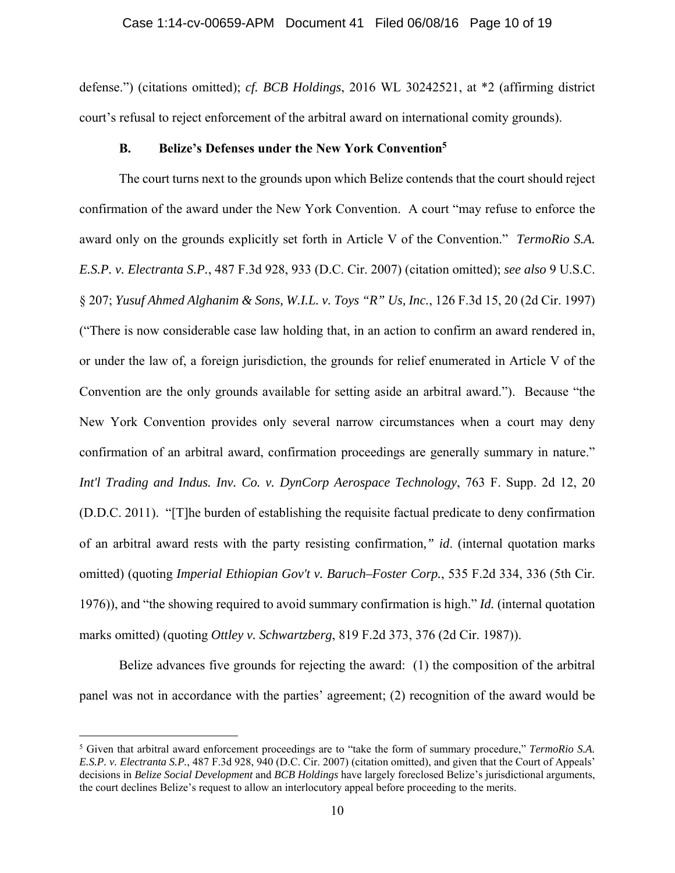defense.") (citations omitted); *cf. BCB Holdings*, 2016 WL 30242521, at \*2 (affirming district court's refusal to reject enforcement of the arbitral award on international comity grounds).

#### **B. Belize's Defenses under the New York Convention5**

 The court turns next to the grounds upon which Belize contends that the court should reject confirmation of the award under the New York Convention. A court "may refuse to enforce the award only on the grounds explicitly set forth in Article V of the Convention." *TermoRio S.A. E.S.P. v. Electranta S.P.*, 487 F.3d 928, 933 (D.C. Cir. 2007) (citation omitted); *see also* 9 U.S.C. § 207; *Yusuf Ahmed Alghanim & Sons, W.I.L. v. Toys "R" Us, Inc.*, 126 F.3d 15, 20 (2d Cir. 1997) ("There is now considerable case law holding that, in an action to confirm an award rendered in, or under the law of, a foreign jurisdiction, the grounds for relief enumerated in Article V of the Convention are the only grounds available for setting aside an arbitral award."). Because "the New York Convention provides only several narrow circumstances when a court may deny confirmation of an arbitral award, confirmation proceedings are generally summary in nature." *Int'l Trading and Indus. Inv. Co. v. DynCorp Aerospace Technology*, 763 F. Supp. 2d 12, 20 (D.D.C. 2011). "[T]he burden of establishing the requisite factual predicate to deny confirmation of an arbitral award rests with the party resisting confirmation*," id*. (internal quotation marks omitted) (quoting *Imperial Ethiopian Gov't v. Baruch–Foster Corp.*, 535 F.2d 334, 336 (5th Cir. 1976)), and "the showing required to avoid summary confirmation is high." *Id.* (internal quotation marks omitted) (quoting *Ottley v. Schwartzberg*, 819 F.2d 373, 376 (2d Cir. 1987)).

 Belize advances five grounds for rejecting the award: (1) the composition of the arbitral panel was not in accordance with the parties' agreement; (2) recognition of the award would be

i

<sup>5</sup> Given that arbitral award enforcement proceedings are to "take the form of summary procedure," *TermoRio S.A. E.S.P. v. Electranta S.P.*, 487 F.3d 928, 940 (D.C. Cir. 2007) (citation omitted), and given that the Court of Appeals' decisions in *Belize Social Development* and *BCB Holdings* have largely foreclosed Belize's jurisdictional arguments, the court declines Belize's request to allow an interlocutory appeal before proceeding to the merits.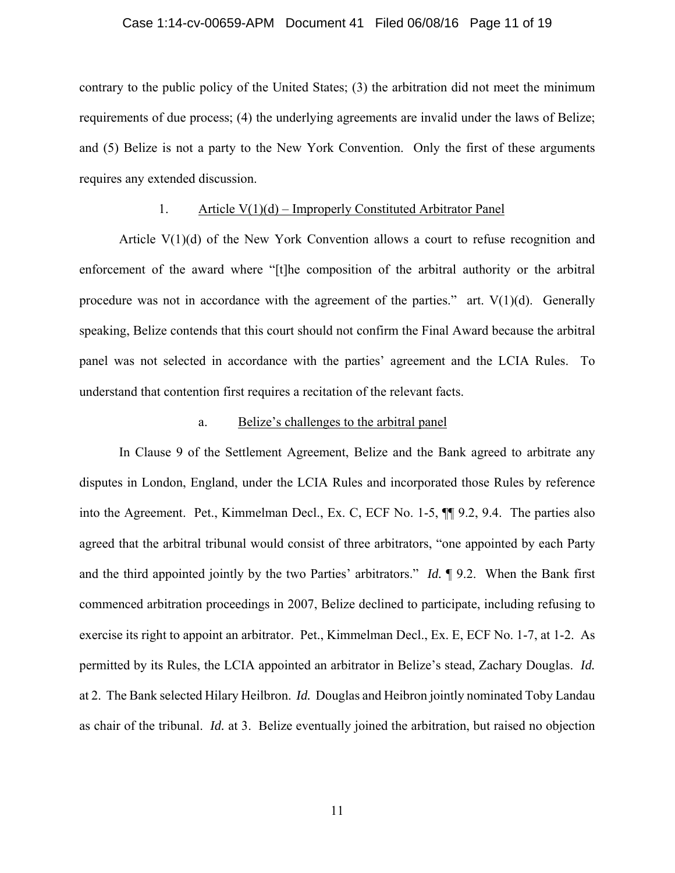#### Case 1:14-cv-00659-APM Document 41 Filed 06/08/16 Page 11 of 19

contrary to the public policy of the United States; (3) the arbitration did not meet the minimum requirements of due process; (4) the underlying agreements are invalid under the laws of Belize; and (5) Belize is not a party to the New York Convention. Only the first of these arguments requires any extended discussion.

# 1. Article V(1)(d) – Improperly Constituted Arbitrator Panel

Article V(1)(d) of the New York Convention allows a court to refuse recognition and enforcement of the award where "[t]he composition of the arbitral authority or the arbitral procedure was not in accordance with the agreement of the parties." art.  $V(1)(d)$ . Generally speaking, Belize contends that this court should not confirm the Final Award because the arbitral panel was not selected in accordance with the parties' agreement and the LCIA Rules. To understand that contention first requires a recitation of the relevant facts.

# a. Belize's challenges to the arbitral panel

In Clause 9 of the Settlement Agreement, Belize and the Bank agreed to arbitrate any disputes in London, England, under the LCIA Rules and incorporated those Rules by reference into the Agreement. Pet., Kimmelman Decl., Ex. C, ECF No. 1-5, ¶¶ 9.2, 9.4. The parties also agreed that the arbitral tribunal would consist of three arbitrators, "one appointed by each Party and the third appointed jointly by the two Parties' arbitrators." *Id.* ¶ 9.2. When the Bank first commenced arbitration proceedings in 2007, Belize declined to participate, including refusing to exercise its right to appoint an arbitrator. Pet., Kimmelman Decl., Ex. E, ECF No. 1-7, at 1-2. As permitted by its Rules, the LCIA appointed an arbitrator in Belize's stead, Zachary Douglas. *Id.* at 2. The Bank selected Hilary Heilbron. *Id.* Douglas and Heibron jointly nominated Toby Landau as chair of the tribunal. *Id.* at 3. Belize eventually joined the arbitration, but raised no objection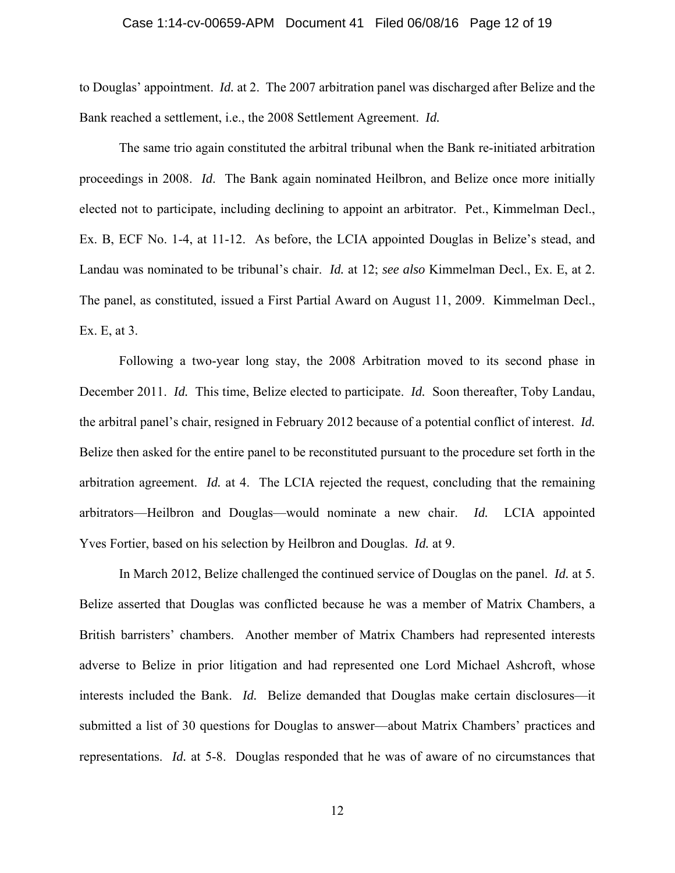#### Case 1:14-cv-00659-APM Document 41 Filed 06/08/16 Page 12 of 19

to Douglas' appointment. *Id.* at 2.The 2007 arbitration panel was discharged after Belize and the Bank reached a settlement, i.e., the 2008 Settlement Agreement. *Id.* 

The same trio again constituted the arbitral tribunal when the Bank re-initiated arbitration proceedings in 2008. *Id*. The Bank again nominated Heilbron, and Belize once more initially elected not to participate, including declining to appoint an arbitrator. Pet., Kimmelman Decl., Ex. B, ECF No. 1-4, at 11-12. As before, the LCIA appointed Douglas in Belize's stead, and Landau was nominated to be tribunal's chair. *Id.* at 12; *see also* Kimmelman Decl., Ex. E, at 2. The panel, as constituted, issued a First Partial Award on August 11, 2009. Kimmelman Decl., Ex. E, at 3.

Following a two-year long stay, the 2008 Arbitration moved to its second phase in December 2011. *Id.* This time, Belize elected to participate. *Id.* Soon thereafter, Toby Landau, the arbitral panel's chair, resigned in February 2012 because of a potential conflict of interest. *Id.*  Belize then asked for the entire panel to be reconstituted pursuant to the procedure set forth in the arbitration agreement. *Id.* at 4.The LCIA rejected the request, concluding that the remaining arbitrators—Heilbron and Douglas—would nominate a new chair. *Id.* LCIA appointed Yves Fortier, based on his selection by Heilbron and Douglas. *Id.* at 9.

In March 2012, Belize challenged the continued service of Douglas on the panel. *Id.* at 5. Belize asserted that Douglas was conflicted because he was a member of Matrix Chambers, a British barristers' chambers. Another member of Matrix Chambers had represented interests adverse to Belize in prior litigation and had represented one Lord Michael Ashcroft, whose interests included the Bank. *Id.* Belize demanded that Douglas make certain disclosures—it submitted a list of 30 questions for Douglas to answer—about Matrix Chambers' practices and representations. *Id.* at 5-8. Douglas responded that he was of aware of no circumstances that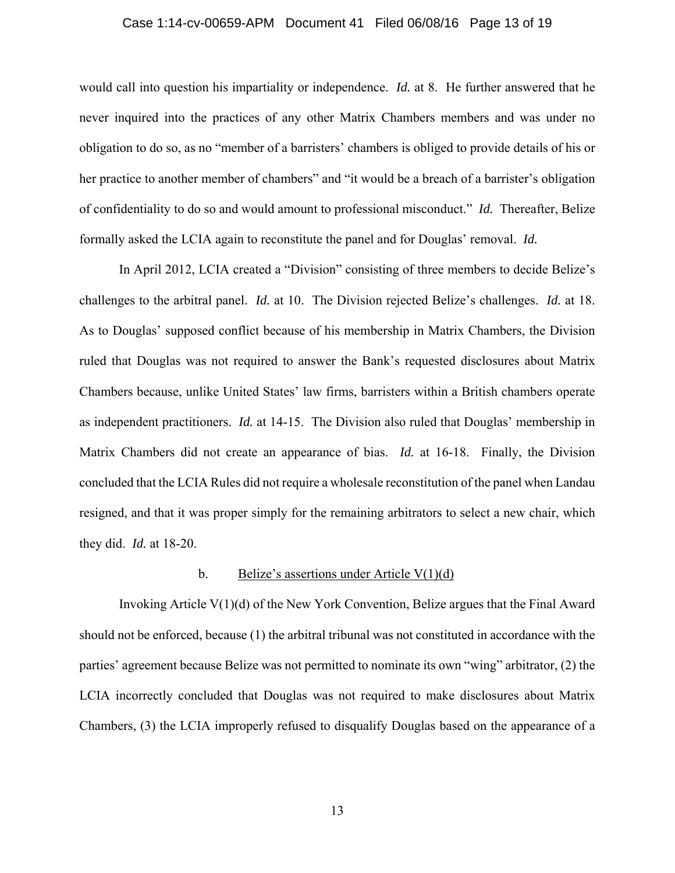#### Case 1:14-cv-00659-APM Document 41 Filed 06/08/16 Page 13 of 19

would call into question his impartiality or independence. *Id.* at 8. He further answered that he never inquired into the practices of any other Matrix Chambers members and was under no obligation to do so, as no "member of a barristers' chambers is obliged to provide details of his or her practice to another member of chambers" and "it would be a breach of a barrister's obligation of confidentiality to do so and would amount to professional misconduct." *Id.* Thereafter, Belize formally asked the LCIA again to reconstitute the panel and for Douglas' removal. *Id.* 

In April 2012, LCIA created a "Division" consisting of three members to decide Belize's challenges to the arbitral panel. *Id.* at 10. The Division rejected Belize's challenges. *Id.* at 18. As to Douglas' supposed conflict because of his membership in Matrix Chambers, the Division ruled that Douglas was not required to answer the Bank's requested disclosures about Matrix Chambers because, unlike United States' law firms, barristers within a British chambers operate as independent practitioners. *Id.* at 14-15. The Division also ruled that Douglas' membership in Matrix Chambers did not create an appearance of bias. *Id.* at 16-18. Finally, the Division concluded that the LCIA Rules did not require a wholesale reconstitution of the panel when Landau resigned, and that it was proper simply for the remaining arbitrators to select a new chair, which they did. *Id.* at 18-20.

## b. Belize's assertions under Article  $V(1)(d)$

Invoking Article V(1)(d) of the New York Convention, Belize argues that the Final Award should not be enforced, because (1) the arbitral tribunal was not constituted in accordance with the parties' agreement because Belize was not permitted to nominate its own "wing" arbitrator, (2) the LCIA incorrectly concluded that Douglas was not required to make disclosures about Matrix Chambers, (3) the LCIA improperly refused to disqualify Douglas based on the appearance of a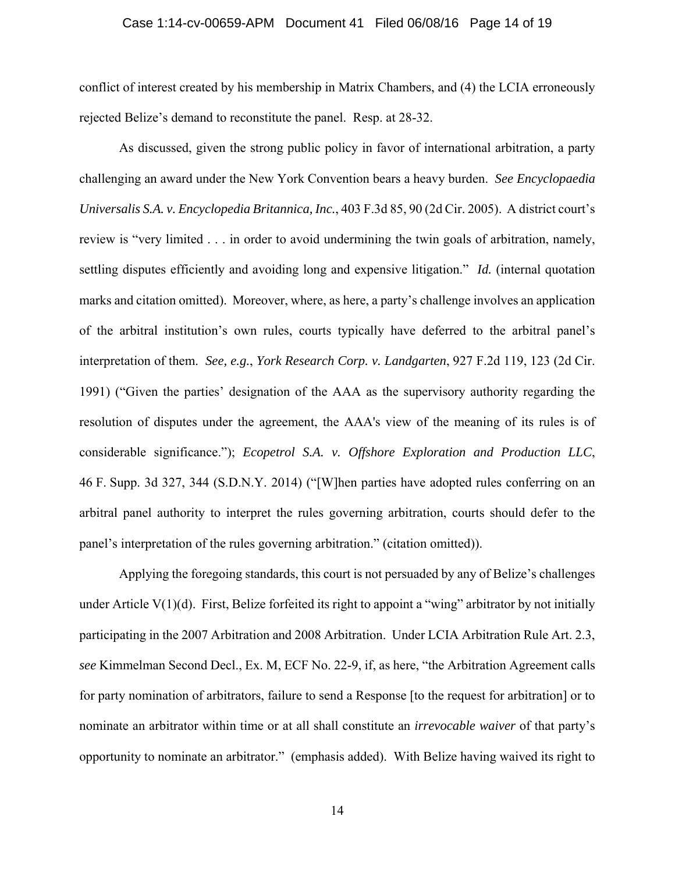#### Case 1:14-cv-00659-APM Document 41 Filed 06/08/16 Page 14 of 19

conflict of interest created by his membership in Matrix Chambers, and (4) the LCIA erroneously rejected Belize's demand to reconstitute the panel. Resp. at 28-32.

As discussed, given the strong public policy in favor of international arbitration, a party challenging an award under the New York Convention bears a heavy burden. *See Encyclopaedia Universalis S.A. v. Encyclopedia Britannica, Inc.*, 403 F.3d 85, 90 (2d Cir. 2005). A district court's review is "very limited . . . in order to avoid undermining the twin goals of arbitration, namely, settling disputes efficiently and avoiding long and expensive litigation." *Id.* (internal quotation marks and citation omitted). Moreover, where, as here, a party's challenge involves an application of the arbitral institution's own rules, courts typically have deferred to the arbitral panel's interpretation of them. *See, e.g.*, *York Research Corp. v. Landgarten*, 927 F.2d 119, 123 (2d Cir. 1991) ("Given the parties' designation of the AAA as the supervisory authority regarding the resolution of disputes under the agreement, the AAA's view of the meaning of its rules is of considerable significance."); *Ecopetrol S.A. v. Offshore Exploration and Production LLC*, 46 F. Supp. 3d 327, 344 (S.D.N.Y. 2014) ("[W]hen parties have adopted rules conferring on an arbitral panel authority to interpret the rules governing arbitration, courts should defer to the panel's interpretation of the rules governing arbitration." (citation omitted)).

Applying the foregoing standards, this court is not persuaded by any of Belize's challenges under Article V(1)(d). First, Belize forfeited its right to appoint a "wing" arbitrator by not initially participating in the 2007 Arbitration and 2008 Arbitration. Under LCIA Arbitration Rule Art. 2.3, *see* Kimmelman Second Decl., Ex. M, ECF No. 22-9, if, as here, "the Arbitration Agreement calls for party nomination of arbitrators, failure to send a Response [to the request for arbitration] or to nominate an arbitrator within time or at all shall constitute an *irrevocable waiver* of that party's opportunity to nominate an arbitrator." (emphasis added). With Belize having waived its right to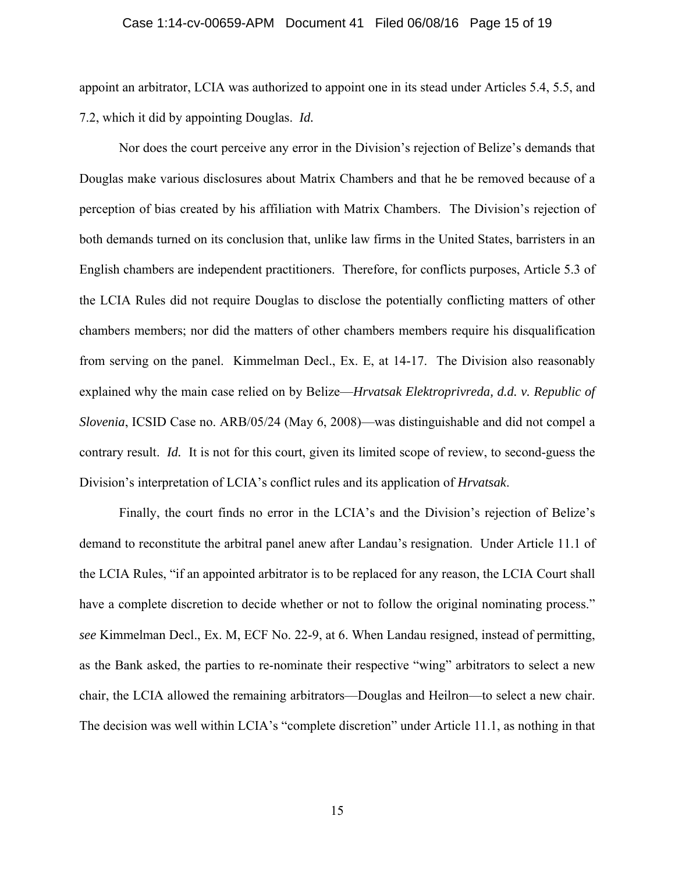#### Case 1:14-cv-00659-APM Document 41 Filed 06/08/16 Page 15 of 19

appoint an arbitrator, LCIA was authorized to appoint one in its stead under Articles 5.4, 5.5, and 7.2, which it did by appointing Douglas. *Id.* 

Nor does the court perceive any error in the Division's rejection of Belize's demands that Douglas make various disclosures about Matrix Chambers and that he be removed because of a perception of bias created by his affiliation with Matrix Chambers. The Division's rejection of both demands turned on its conclusion that, unlike law firms in the United States, barristers in an English chambers are independent practitioners. Therefore, for conflicts purposes, Article 5.3 of the LCIA Rules did not require Douglas to disclose the potentially conflicting matters of other chambers members; nor did the matters of other chambers members require his disqualification from serving on the panel. Kimmelman Decl., Ex. E, at 14-17. The Division also reasonably explained why the main case relied on by Belize—*Hrvatsak Elektroprivreda, d.d. v. Republic of Slovenia*, ICSID Case no. ARB/05/24 (May 6, 2008)—was distinguishable and did not compel a contrary result. *Id.* It is not for this court, given its limited scope of review, to second-guess the Division's interpretation of LCIA's conflict rules and its application of *Hrvatsak*.

Finally, the court finds no error in the LCIA's and the Division's rejection of Belize's demand to reconstitute the arbitral panel anew after Landau's resignation. Under Article 11.1 of the LCIA Rules, "if an appointed arbitrator is to be replaced for any reason, the LCIA Court shall have a complete discretion to decide whether or not to follow the original nominating process." *see* Kimmelman Decl., Ex. M, ECF No. 22-9, at 6. When Landau resigned, instead of permitting, as the Bank asked, the parties to re-nominate their respective "wing" arbitrators to select a new chair, the LCIA allowed the remaining arbitrators—Douglas and Heilron—to select a new chair. The decision was well within LCIA's "complete discretion" under Article 11.1, as nothing in that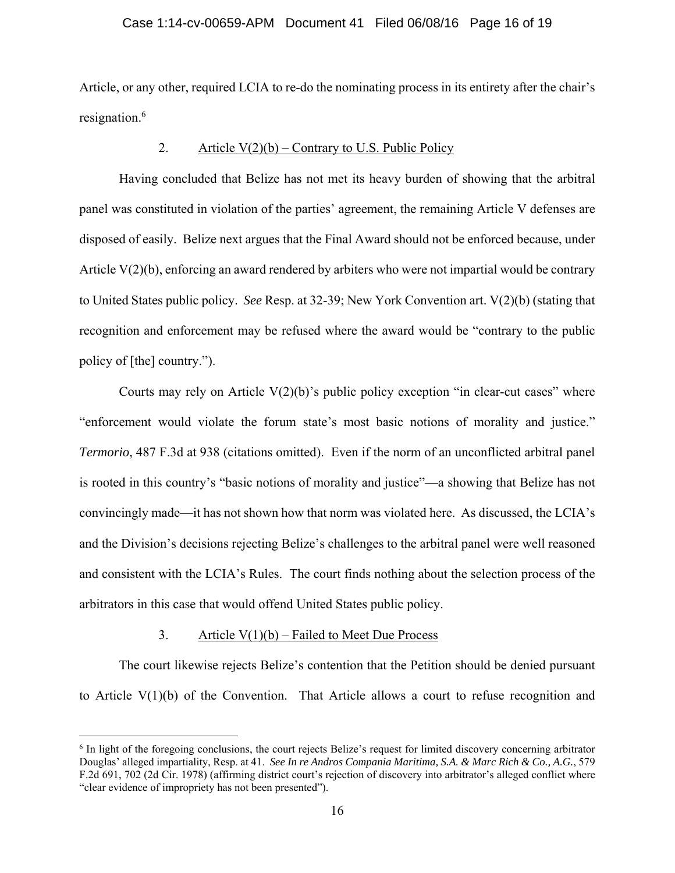### Case 1:14-cv-00659-APM Document 41 Filed 06/08/16 Page 16 of 19

Article, or any other, required LCIA to re-do the nominating process in its entirety after the chair's resignation.<sup>6</sup>

# 2. Article  $V(2)(b)$  – Contrary to U.S. Public Policy

 Having concluded that Belize has not met its heavy burden of showing that the arbitral panel was constituted in violation of the parties' agreement, the remaining Article V defenses are disposed of easily. Belize next argues that the Final Award should not be enforced because, under Article V(2)(b), enforcing an award rendered by arbiters who were not impartial would be contrary to United States public policy. *See* Resp. at 32-39; New York Convention art. V(2)(b) (stating that recognition and enforcement may be refused where the award would be "contrary to the public policy of [the] country.").

Courts may rely on Article  $V(2)(b)$ 's public policy exception "in clear-cut cases" where "enforcement would violate the forum state's most basic notions of morality and justice." *Termorio*, 487 F.3d at 938 (citations omitted). Even if the norm of an unconflicted arbitral panel is rooted in this country's "basic notions of morality and justice"—a showing that Belize has not convincingly made—it has not shown how that norm was violated here. As discussed, the LCIA's and the Division's decisions rejecting Belize's challenges to the arbitral panel were well reasoned and consistent with the LCIA's Rules. The court finds nothing about the selection process of the arbitrators in this case that would offend United States public policy.

## 3. Article  $V(1)(b)$  – Failed to Meet Due Process

i

 The court likewise rejects Belize's contention that the Petition should be denied pursuant to Article V(1)(b) of the Convention. That Article allows a court to refuse recognition and

<sup>&</sup>lt;sup>6</sup> In light of the foregoing conclusions, the court rejects Belize's request for limited discovery concerning arbitrator Douglas' alleged impartiality, Resp. at 41. *See In re Andros Compania Maritima, S.A. & Marc Rich & Co., A.G.*, 579 F.2d 691, 702 (2d Cir. 1978) (affirming district court's rejection of discovery into arbitrator's alleged conflict where "clear evidence of impropriety has not been presented").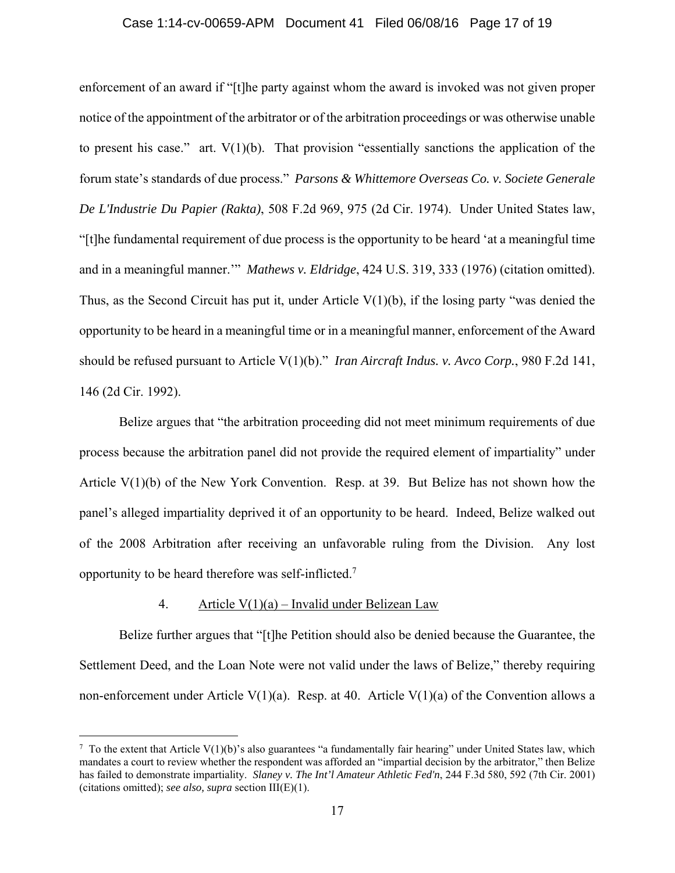#### Case 1:14-cv-00659-APM Document 41 Filed 06/08/16 Page 17 of 19

enforcement of an award if "[t]he party against whom the award is invoked was not given proper notice of the appointment of the arbitrator or of the arbitration proceedings or was otherwise unable to present his case." art. V(1)(b). That provision "essentially sanctions the application of the forum state's standards of due process." *Parsons & Whittemore Overseas Co. v. Societe Generale De L'Industrie Du Papier (Rakta)*, 508 F.2d 969, 975 (2d Cir. 1974). Under United States law, "[t]he fundamental requirement of due process is the opportunity to be heard 'at a meaningful time and in a meaningful manner.'" *Mathews v. Eldridge*, 424 U.S. 319, 333 (1976) (citation omitted). Thus, as the Second Circuit has put it, under Article V(1)(b), if the losing party "was denied the opportunity to be heard in a meaningful time or in a meaningful manner, enforcement of the Award should be refused pursuant to Article V(1)(b)." *Iran Aircraft Indus. v. Avco Corp.*, 980 F.2d 141, 146 (2d Cir. 1992).

Belize argues that "the arbitration proceeding did not meet minimum requirements of due process because the arbitration panel did not provide the required element of impartiality" under Article V(1)(b) of the New York Convention. Resp. at 39. But Belize has not shown how the panel's alleged impartiality deprived it of an opportunity to be heard. Indeed, Belize walked out of the 2008 Arbitration after receiving an unfavorable ruling from the Division. Any lost opportunity to be heard therefore was self-inflicted.<sup>7</sup>

## 4. Article  $V(1)(a)$  – Invalid under Belizean Law

i

 Belize further argues that "[t]he Petition should also be denied because the Guarantee, the Settlement Deed, and the Loan Note were not valid under the laws of Belize," thereby requiring non-enforcement under Article V(1)(a). Resp. at 40. Article V(1)(a) of the Convention allows a

 $^7$  To the extent that Article V(1)(b)'s also guarantees "a fundamentally fair hearing" under United States law, which mandates a court to review whether the respondent was afforded an "impartial decision by the arbitrator," then Belize has failed to demonstrate impartiality. *Slaney v. The Int'l Amateur Athletic Fed'n*, 244 F.3d 580, 592 (7th Cir. 2001) (citations omitted); *see also, supra* section III(E)(1).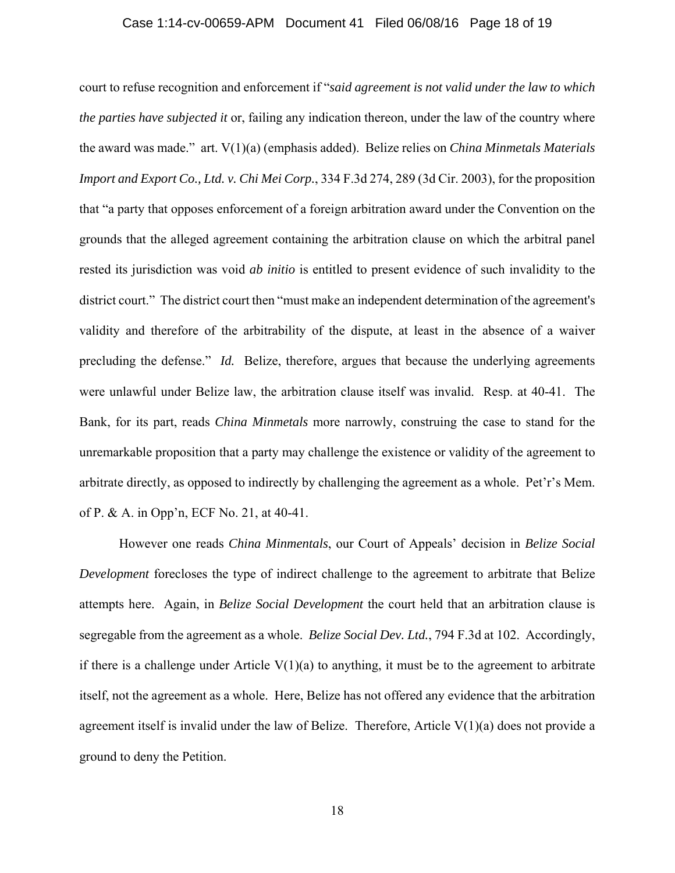#### Case 1:14-cv-00659-APM Document 41 Filed 06/08/16 Page 18 of 19

court to refuse recognition and enforcement if "*said agreement is not valid under the law to which the parties have subjected it* or, failing any indication thereon, under the law of the country where the award was made." art. V(1)(a) (emphasis added). Belize relies on *China Minmetals Materials Import and Export Co., Ltd. v. Chi Mei Corp.*, 334 F.3d 274, 289 (3d Cir. 2003), for the proposition that "a party that opposes enforcement of a foreign arbitration award under the Convention on the grounds that the alleged agreement containing the arbitration clause on which the arbitral panel rested its jurisdiction was void *ab initio* is entitled to present evidence of such invalidity to the district court." The district court then "must make an independent determination of the agreement's validity and therefore of the arbitrability of the dispute, at least in the absence of a waiver precluding the defense." *Id.* Belize, therefore, argues that because the underlying agreements were unlawful under Belize law, the arbitration clause itself was invalid. Resp. at 40-41. The Bank, for its part, reads *China Minmetals* more narrowly, construing the case to stand for the unremarkable proposition that a party may challenge the existence or validity of the agreement to arbitrate directly, as opposed to indirectly by challenging the agreement as a whole. Pet'r's Mem. of P. & A. in Opp'n, ECF No. 21, at 40-41.

 However one reads *China Minmentals*, our Court of Appeals' decision in *Belize Social Development* forecloses the type of indirect challenge to the agreement to arbitrate that Belize attempts here. Again, in *Belize Social Development* the court held that an arbitration clause is segregable from the agreement as a whole. *Belize Social Dev. Ltd.*, 794 F.3d at 102. Accordingly, if there is a challenge under Article  $V(1)(a)$  to anything, it must be to the agreement to arbitrate itself, not the agreement as a whole. Here, Belize has not offered any evidence that the arbitration agreement itself is invalid under the law of Belize. Therefore, Article V(1)(a) does not provide a ground to deny the Petition.